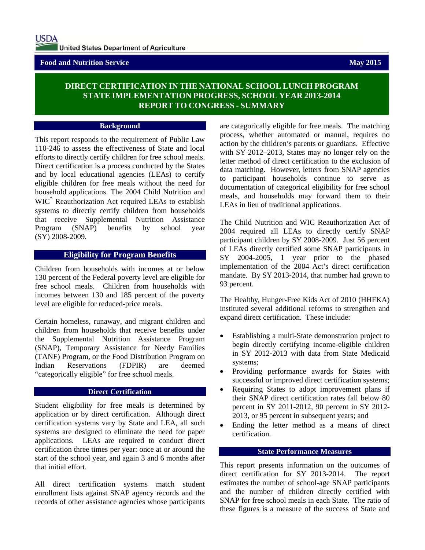# **Food and Nutrition Service May 2015**

## **DIRECT CERTIFICATION IN THE NATIONAL SCHOOL LUNCH PROGRAM STATE IMPLEMENTATION PROGRESS, SCHOOL YEAR 2013-2014 REPORT TO CONGRESS - SUMMARY**

### **Background**

This report responds to the requirement of Public Law 110-246 to assess the effectiveness of State and local efforts to directly certify children for free school meals. Direct certification is a process conducted by the States and by local educational agencies (LEAs) to certify eligible children for free meals without the need for household applications. The 2004 Child Nutrition and WIC\* Reauthorization Act required LEAs to establish systems to directly certify children from households that receive Supplemental Nutrition Assistance Program (SNAP) benefits by school year (SY) 2008-2009.

## **Eligibility for Program Benefits**

Children from households with incomes at or below 130 percent of the Federal poverty level are eligible for free school meals. Children from households with incomes between 130 and 185 percent of the poverty level are eligible for reduced-price meals.

Certain homeless, runaway, and migrant children and children from households that receive benefits under the Supplemental Nutrition Assistance Program (SNAP), Temporary Assistance for Needy Families (TANF) Program, or the Food Distribution Program on Indian Reservations (FDPIR) are deemed "categorically eligible" for free school meals.

## **Direct Certification**

Student eligibility for free meals is determined by application or by direct certification. Although direct certification systems vary by State and LEA, all such systems are designed to eliminate the need for paper applications. LEAs are required to conduct direct certification three times per year: once at or around the start of the school year, and again 3 and 6 months after that initial effort.

All direct certification systems match student enrollment lists against SNAP agency records and the records of other assistance agencies whose participants

are categorically eligible for free meals. The matching process, whether automated or manual, requires no action by the children's parents or guardians. Effective with SY 2012–2013, States may no longer rely on the letter method of direct certification to the exclusion of data matching. However, letters from SNAP agencies to participant households continue to serve as documentation of categorical eligibility for free school meals, and households may forward them to their LEAs in lieu of traditional applications.

The Child Nutrition and WIC Reauthorization Act of 2004 required all LEAs to directly certify SNAP participant children by SY 2008-2009. Just 56 percent of LEAs directly certified some SNAP participants in SY 2004-2005, 1 year prior to the phased implementation of the 2004 Act's direct certification mandate. By SY 2013-2014, that number had grown to 93 percent.

The Healthy, Hunger-Free Kids Act of 2010 (HHFKA) instituted several additional reforms to strengthen and expand direct certification. These include:

- Establishing a multi-State demonstration project to begin directly certifying income-eligible children in SY 2012-2013 with data from State Medicaid systems;
- Providing performance awards for States with successful or improved direct certification systems;
- Requiring States to adopt improvement plans if their SNAP direct certification rates fall below 80 percent in SY 2011-2012, 90 percent in SY 2012- 2013, or 95 percent in subsequent years; and
- Ending the letter method as a means of direct certification.

### **State Performance Measures**

This report presents information on the outcomes of direct certification for SY 2013-2014. The report estimates the number of school-age SNAP participants and the number of children directly certified with SNAP for free school meals in each State. The ratio of these figures is a measure of the success of State and